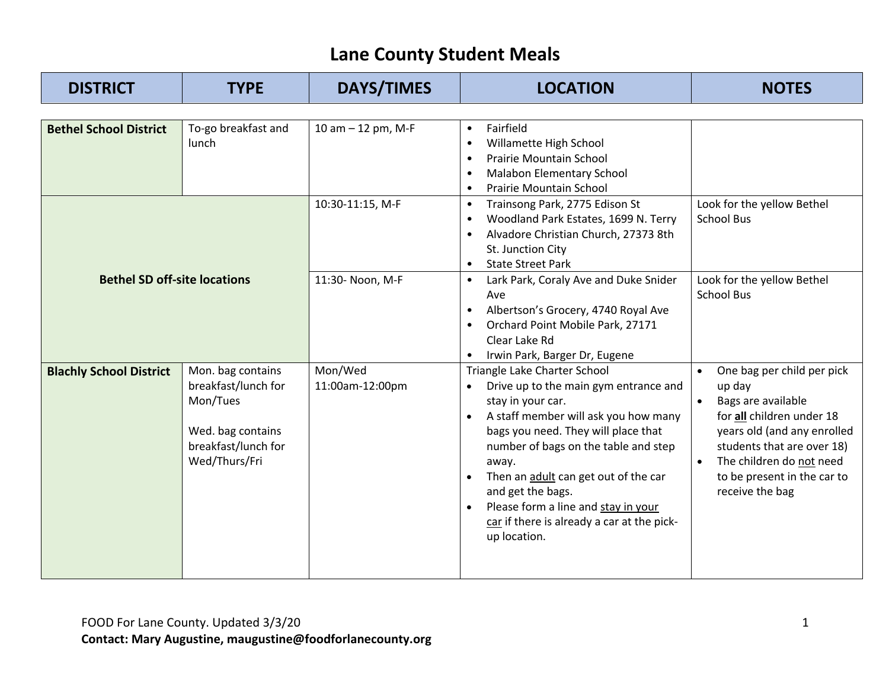| <b>DISTRICT</b>                     | <b>TYPE</b>                                                                                                       | <b>DAYS/TIMES</b>          | <b>LOCATION</b>                                                                                                                                                                                                                                                                                                                                                                              | <b>NOTES</b>                                                                                                                                                                                                                                                              |
|-------------------------------------|-------------------------------------------------------------------------------------------------------------------|----------------------------|----------------------------------------------------------------------------------------------------------------------------------------------------------------------------------------------------------------------------------------------------------------------------------------------------------------------------------------------------------------------------------------------|---------------------------------------------------------------------------------------------------------------------------------------------------------------------------------------------------------------------------------------------------------------------------|
|                                     |                                                                                                                   |                            |                                                                                                                                                                                                                                                                                                                                                                                              |                                                                                                                                                                                                                                                                           |
| <b>Bethel School District</b>       | To-go breakfast and<br>lunch                                                                                      | 10 am - 12 pm, M-F         | Fairfield<br>Willamette High School<br><b>Prairie Mountain School</b><br><b>Malabon Elementary School</b><br><b>Prairie Mountain School</b>                                                                                                                                                                                                                                                  |                                                                                                                                                                                                                                                                           |
| <b>Bethel SD off-site locations</b> |                                                                                                                   | 10:30-11:15, M-F           | Trainsong Park, 2775 Edison St<br>$\bullet$<br>Woodland Park Estates, 1699 N. Terry<br>Alvadore Christian Church, 27373 8th<br>St. Junction City<br><b>State Street Park</b><br>$\bullet$                                                                                                                                                                                                    | Look for the yellow Bethel<br><b>School Bus</b>                                                                                                                                                                                                                           |
|                                     |                                                                                                                   | 11:30- Noon, M-F           | Lark Park, Coraly Ave and Duke Snider<br>$\bullet$<br>Ave<br>Albertson's Grocery, 4740 Royal Ave<br>Orchard Point Mobile Park, 27171<br>Clear Lake Rd<br>Irwin Park, Barger Dr, Eugene                                                                                                                                                                                                       | Look for the yellow Bethel<br><b>School Bus</b>                                                                                                                                                                                                                           |
| <b>Blachly School District</b>      | Mon. bag contains<br>breakfast/lunch for<br>Mon/Tues<br>Wed. bag contains<br>breakfast/lunch for<br>Wed/Thurs/Fri | Mon/Wed<br>11:00am-12:00pm | Triangle Lake Charter School<br>Drive up to the main gym entrance and<br>stay in your car.<br>A staff member will ask you how many<br>bags you need. They will place that<br>number of bags on the table and step<br>away.<br>Then an adult can get out of the car<br>and get the bags.<br>Please form a line and stay in your<br>car if there is already a car at the pick-<br>up location. | One bag per child per pick<br>$\bullet$<br>up day<br>Bags are available<br>$\bullet$<br>for all children under 18<br>years old (and any enrolled<br>students that are over 18)<br>The children do not need<br>$\bullet$<br>to be present in the car to<br>receive the bag |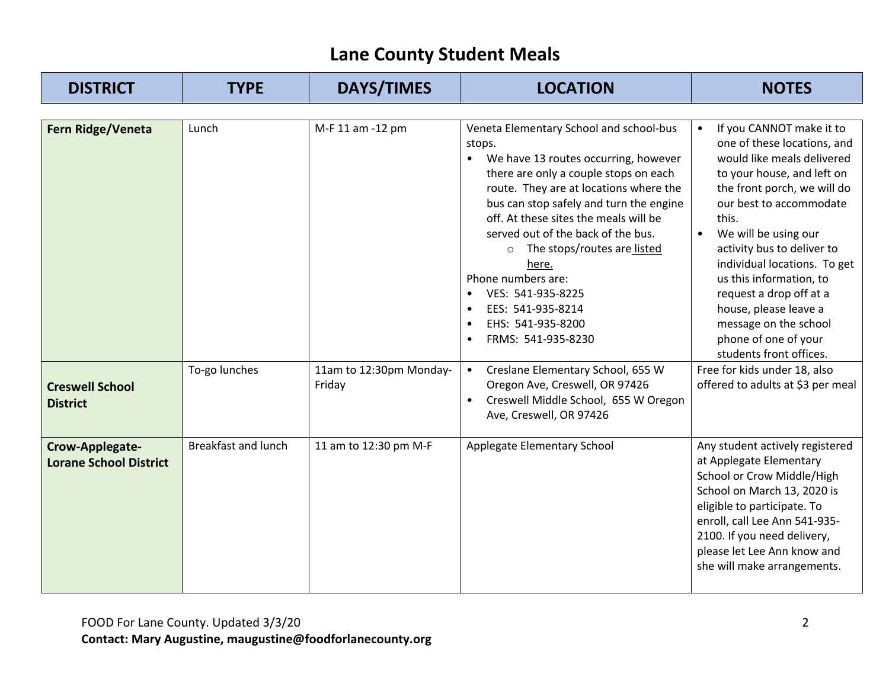| <b>DISTRICT</b>                                                | <b>TYPE</b>                | <b>DAYS/TIMES</b>                                     | <b>LOCATION</b>                                                                                                                                                                                                                                                                                                                                                                                                                                                                                                                                                                                               | <b>NOTES</b>                                                                                                                                                                                                                                                                                                                                                                                                                                                                                                 |
|----------------------------------------------------------------|----------------------------|-------------------------------------------------------|---------------------------------------------------------------------------------------------------------------------------------------------------------------------------------------------------------------------------------------------------------------------------------------------------------------------------------------------------------------------------------------------------------------------------------------------------------------------------------------------------------------------------------------------------------------------------------------------------------------|--------------------------------------------------------------------------------------------------------------------------------------------------------------------------------------------------------------------------------------------------------------------------------------------------------------------------------------------------------------------------------------------------------------------------------------------------------------------------------------------------------------|
| Fern Ridge/Veneta<br><b>Creswell School</b><br><b>District</b> | Lunch<br>To-go lunches     | M-F 11 am -12 pm<br>11am to 12:30pm Monday-<br>Friday | Veneta Elementary School and school-bus<br>stops.<br>We have 13 routes occurring, however<br>$\bullet$<br>there are only a couple stops on each<br>route. They are at locations where the<br>bus can stop safely and turn the engine<br>off. At these sites the meals will be<br>served out of the back of the bus.<br>The stops/routes are listed<br>$\circ$<br>here.<br>Phone numbers are:<br>VES: 541-935-8225<br>$\bullet$<br>EES: 541-935-8214<br>EHS: 541-935-8200<br>FRMS: 541-935-8230<br>Creslane Elementary School, 655 W<br>Oregon Ave, Creswell, OR 97426<br>Creswell Middle School, 655 W Oregon | If you CANNOT make it to<br>one of these locations, and<br>would like meals delivered<br>to your house, and left on<br>the front porch, we will do<br>our best to accommodate<br>this.<br>We will be using our<br>activity bus to deliver to<br>individual locations. To get<br>us this information, to<br>request a drop off at a<br>house, please leave a<br>message on the school<br>phone of one of your<br>students front offices.<br>Free for kids under 18, also<br>offered to adults at \$3 per meal |
| Crow-Applegate-                                                | <b>Breakfast and lunch</b> | 11 am to 12:30 pm M-F                                 | Ave, Creswell, OR 97426<br>Applegate Elementary School                                                                                                                                                                                                                                                                                                                                                                                                                                                                                                                                                        | Any student actively registered                                                                                                                                                                                                                                                                                                                                                                                                                                                                              |
| <b>Lorane School District</b>                                  |                            |                                                       |                                                                                                                                                                                                                                                                                                                                                                                                                                                                                                                                                                                                               | at Applegate Elementary<br>School or Crow Middle/High<br>School on March 13, 2020 is<br>eligible to participate. To<br>enroll, call Lee Ann 541-935-<br>2100. If you need delivery,<br>please let Lee Ann know and<br>she will make arrangements.                                                                                                                                                                                                                                                            |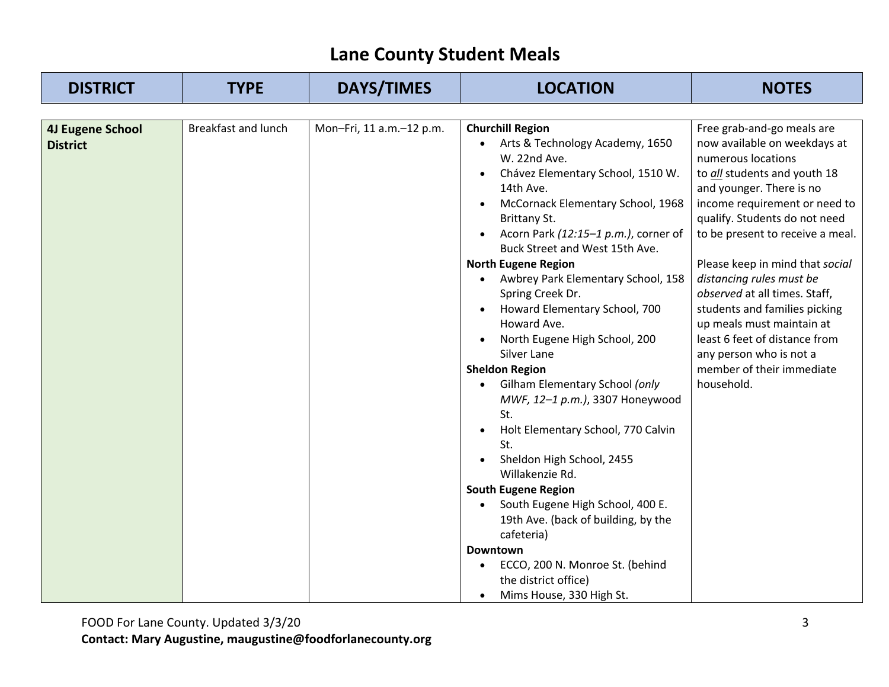| <b>DISTRICT</b>                            | <b>TYPE</b>                | <b>DAYS/TIMES</b>        | <b>LOCATION</b>                                                                                                                                                                                                                                                                                                                                                                                                                                                                                                                                                                                                                                                                                                                                                                                                                                                                                                       | <b>NOTES</b>                                                                                                                                                                                                                                                                                                                                                                                                                                                                                                            |
|--------------------------------------------|----------------------------|--------------------------|-----------------------------------------------------------------------------------------------------------------------------------------------------------------------------------------------------------------------------------------------------------------------------------------------------------------------------------------------------------------------------------------------------------------------------------------------------------------------------------------------------------------------------------------------------------------------------------------------------------------------------------------------------------------------------------------------------------------------------------------------------------------------------------------------------------------------------------------------------------------------------------------------------------------------|-------------------------------------------------------------------------------------------------------------------------------------------------------------------------------------------------------------------------------------------------------------------------------------------------------------------------------------------------------------------------------------------------------------------------------------------------------------------------------------------------------------------------|
|                                            |                            |                          |                                                                                                                                                                                                                                                                                                                                                                                                                                                                                                                                                                                                                                                                                                                                                                                                                                                                                                                       |                                                                                                                                                                                                                                                                                                                                                                                                                                                                                                                         |
| <b>4J Eugene School</b><br><b>District</b> | <b>Breakfast and lunch</b> | Mon-Fri, 11 a.m.-12 p.m. | <b>Churchill Region</b><br>Arts & Technology Academy, 1650<br>$\bullet$<br>W. 22nd Ave.<br>Chávez Elementary School, 1510 W.<br>14th Ave.<br>McCornack Elementary School, 1968<br>Brittany St.<br>Acorn Park (12:15-1 p.m.), corner of<br>Buck Street and West 15th Ave.<br><b>North Eugene Region</b><br>Awbrey Park Elementary School, 158<br>Spring Creek Dr.<br>Howard Elementary School, 700<br>Howard Ave.<br>North Eugene High School, 200<br>Silver Lane<br><b>Sheldon Region</b><br>Gilham Elementary School (only<br>MWF, 12-1 p.m.), 3307 Honeywood<br>St.<br>Holt Elementary School, 770 Calvin<br>St.<br>Sheldon High School, 2455<br>Willakenzie Rd.<br><b>South Eugene Region</b><br>South Eugene High School, 400 E.<br>19th Ave. (back of building, by the<br>cafeteria)<br><b>Downtown</b><br>ECCO, 200 N. Monroe St. (behind<br>$\bullet$<br>the district office)<br>Mims House, 330 High St.<br>٠ | Free grab-and-go meals are<br>now available on weekdays at<br>numerous locations<br>to all students and youth 18<br>and younger. There is no<br>income requirement or need to<br>qualify. Students do not need<br>to be present to receive a meal.<br>Please keep in mind that social<br>distancing rules must be<br>observed at all times. Staff,<br>students and families picking<br>up meals must maintain at<br>least 6 feet of distance from<br>any person who is not a<br>member of their immediate<br>household. |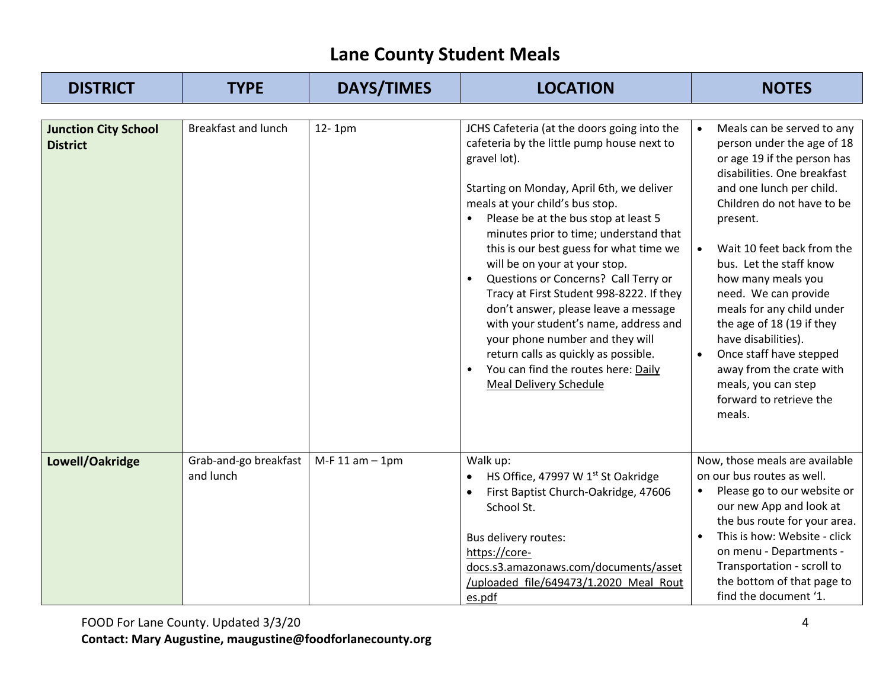| <b>DISTRICT</b>                                | <b>TYPE</b>                        | <b>DAYS/TIMES</b> | <b>LOCATION</b>                                                                                                                                                                                                                                                                                                                                                                                                                                                                                                                                                                                                                                                                 | <b>NOTES</b>                                                                                                                                                                                                                                                                                                                                                                                                                                                                                                                      |
|------------------------------------------------|------------------------------------|-------------------|---------------------------------------------------------------------------------------------------------------------------------------------------------------------------------------------------------------------------------------------------------------------------------------------------------------------------------------------------------------------------------------------------------------------------------------------------------------------------------------------------------------------------------------------------------------------------------------------------------------------------------------------------------------------------------|-----------------------------------------------------------------------------------------------------------------------------------------------------------------------------------------------------------------------------------------------------------------------------------------------------------------------------------------------------------------------------------------------------------------------------------------------------------------------------------------------------------------------------------|
| <b>Junction City School</b><br><b>District</b> | <b>Breakfast and lunch</b>         | 12-1pm            | JCHS Cafeteria (at the doors going into the<br>cafeteria by the little pump house next to<br>gravel lot).<br>Starting on Monday, April 6th, we deliver<br>meals at your child's bus stop.<br>Please be at the bus stop at least 5<br>minutes prior to time; understand that<br>this is our best guess for what time we<br>will be on your at your stop.<br>Questions or Concerns? Call Terry or<br>Tracy at First Student 998-8222. If they<br>don't answer, please leave a message<br>with your student's name, address and<br>your phone number and they will<br>return calls as quickly as possible.<br>You can find the routes here: Daily<br><b>Meal Delivery Schedule</b> | Meals can be served to any<br>person under the age of 18<br>or age 19 if the person has<br>disabilities. One breakfast<br>and one lunch per child.<br>Children do not have to be<br>present.<br>Wait 10 feet back from the<br>$\bullet$<br>bus. Let the staff know<br>how many meals you<br>need. We can provide<br>meals for any child under<br>the age of 18 (19 if they<br>have disabilities).<br>Once staff have stepped<br>$\bullet$<br>away from the crate with<br>meals, you can step<br>forward to retrieve the<br>meals. |
| Lowell/Oakridge                                | Grab-and-go breakfast<br>and lunch | $M-F 11 am - 1pm$ | Walk up:<br>HS Office, 47997 W 1st Oakridge<br>First Baptist Church-Oakridge, 47606<br>School St.<br>Bus delivery routes:<br>https://core-<br>docs.s3.amazonaws.com/documents/asset<br>/uploaded file/649473/1.2020 Meal Rout<br>es.pdf                                                                                                                                                                                                                                                                                                                                                                                                                                         | Now, those meals are available<br>on our bus routes as well.<br>Please go to our website or<br>our new App and look at<br>the bus route for your area.<br>This is how: Website - click<br>$\bullet$<br>on menu - Departments -<br>Transportation - scroll to<br>the bottom of that page to<br>find the document '1.                                                                                                                                                                                                               |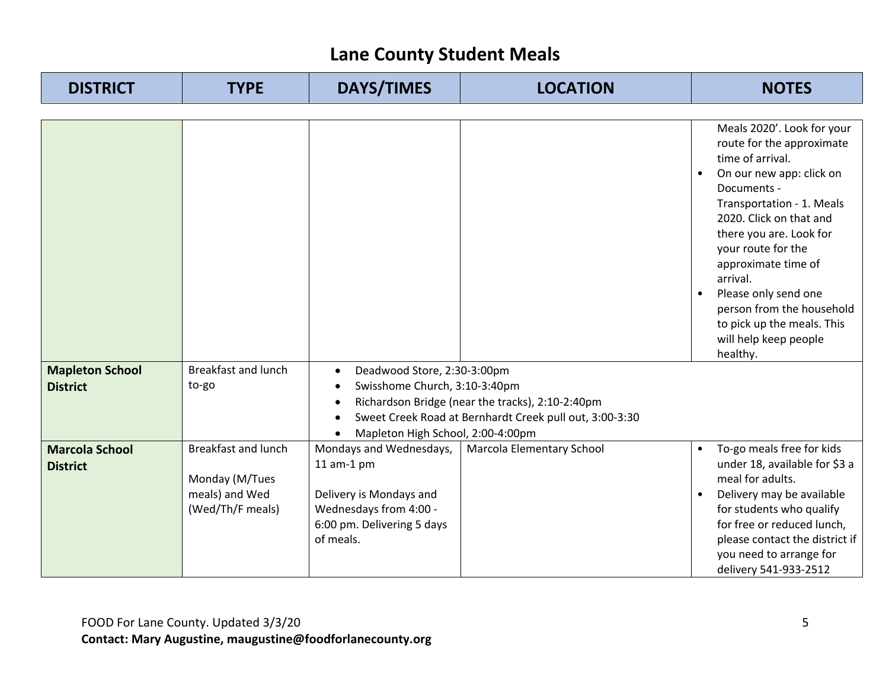| <b>DISTRICT</b>                          | <b>TYPE</b>                                                                        | <b>DAYS/TIMES</b>                                                                                                                          | <b>LOCATION</b>                                         | <b>NOTES</b>                                                                                                                                                                                                                                                                                                                                                                                            |
|------------------------------------------|------------------------------------------------------------------------------------|--------------------------------------------------------------------------------------------------------------------------------------------|---------------------------------------------------------|---------------------------------------------------------------------------------------------------------------------------------------------------------------------------------------------------------------------------------------------------------------------------------------------------------------------------------------------------------------------------------------------------------|
|                                          |                                                                                    |                                                                                                                                            |                                                         |                                                                                                                                                                                                                                                                                                                                                                                                         |
|                                          |                                                                                    |                                                                                                                                            |                                                         | Meals 2020'. Look for your<br>route for the approximate<br>time of arrival.<br>On our new app: click on<br>Documents -<br>Transportation - 1. Meals<br>2020. Click on that and<br>there you are. Look for<br>your route for the<br>approximate time of<br>arrival.<br>Please only send one<br>$\bullet$<br>person from the household<br>to pick up the meals. This<br>will help keep people<br>healthy. |
| <b>Mapleton School</b>                   | <b>Breakfast and lunch</b>                                                         | Deadwood Store, 2:30-3:00pm<br>$\bullet$                                                                                                   |                                                         |                                                                                                                                                                                                                                                                                                                                                                                                         |
| <b>District</b>                          | to-go                                                                              | Swisshome Church, 3:10-3:40pm<br>$\bullet$                                                                                                 |                                                         |                                                                                                                                                                                                                                                                                                                                                                                                         |
|                                          |                                                                                    | $\bullet$                                                                                                                                  | Richardson Bridge (near the tracks), 2:10-2:40pm        |                                                                                                                                                                                                                                                                                                                                                                                                         |
|                                          |                                                                                    |                                                                                                                                            | Sweet Creek Road at Bernhardt Creek pull out, 3:00-3:30 |                                                                                                                                                                                                                                                                                                                                                                                                         |
|                                          |                                                                                    | Mapleton High School, 2:00-4:00pm                                                                                                          |                                                         |                                                                                                                                                                                                                                                                                                                                                                                                         |
| <b>Marcola School</b><br><b>District</b> | <b>Breakfast and lunch</b><br>Monday (M/Tues<br>meals) and Wed<br>(Wed/Th/F meals) | Mondays and Wednesdays,<br>$11$ am- $1$ pm<br>Delivery is Mondays and<br>Wednesdays from 4:00 -<br>6:00 pm. Delivering 5 days<br>of meals. | <b>Marcola Elementary School</b>                        | To-go meals free for kids<br>under 18, available for \$3 a<br>meal for adults.<br>Delivery may be available<br>$\bullet$<br>for students who qualify<br>for free or reduced lunch,<br>please contact the district if<br>you need to arrange for<br>delivery 541-933-2512                                                                                                                                |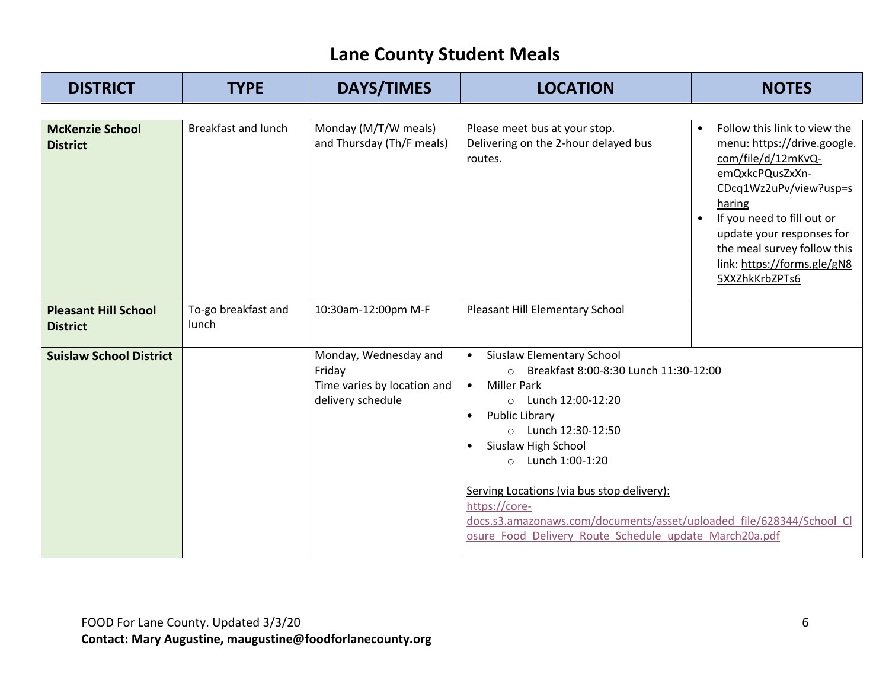| <b>DISTRICT</b>                                | <b>TYPE</b>                  | <b>DAYS/TIMES</b>                                                                   | <b>LOCATION</b>                                                                                                                                                                                                                                                                                                                                                                                                                                                        | <b>NOTES</b>                                                                                                                                                                                                                                                                                     |
|------------------------------------------------|------------------------------|-------------------------------------------------------------------------------------|------------------------------------------------------------------------------------------------------------------------------------------------------------------------------------------------------------------------------------------------------------------------------------------------------------------------------------------------------------------------------------------------------------------------------------------------------------------------|--------------------------------------------------------------------------------------------------------------------------------------------------------------------------------------------------------------------------------------------------------------------------------------------------|
| <b>McKenzie School</b><br><b>District</b>      | <b>Breakfast and lunch</b>   | Monday (M/T/W meals)<br>and Thursday (Th/F meals)                                   | Please meet bus at your stop.<br>Delivering on the 2-hour delayed bus<br>routes.                                                                                                                                                                                                                                                                                                                                                                                       | Follow this link to view the<br>$\bullet$<br>menu: https://drive.google.<br>com/file/d/12mKvQ-<br>emQxkcPQusZxXn-<br>CDcq1Wz2uPv/view?usp=s<br>haring<br>If you need to fill out or<br>update your responses for<br>the meal survey follow this<br>link: https://forms.gle/gN8<br>5XXZhkKrbZPTs6 |
| <b>Pleasant Hill School</b><br><b>District</b> | To-go breakfast and<br>lunch | 10:30am-12:00pm M-F                                                                 | Pleasant Hill Elementary School                                                                                                                                                                                                                                                                                                                                                                                                                                        |                                                                                                                                                                                                                                                                                                  |
| <b>Suislaw School District</b>                 |                              | Monday, Wednesday and<br>Friday<br>Time varies by location and<br>delivery schedule | Siuslaw Elementary School<br>$\bullet$<br>Breakfast 8:00-8:30 Lunch 11:30-12:00<br>$\circ$<br><b>Miller Park</b><br>$\bullet$<br>$\circ$ Lunch 12:00-12:20<br><b>Public Library</b><br>$\circ$ Lunch 12:30-12:50<br>Siuslaw High School<br>Lunch 1:00-1:20<br>$\circ$<br>Serving Locations (via bus stop delivery):<br>https://core-<br>docs.s3.amazonaws.com/documents/asset/uploaded file/628344/School Cl<br>osure_Food_Delivery_Route_Schedule_update_March20a.pdf |                                                                                                                                                                                                                                                                                                  |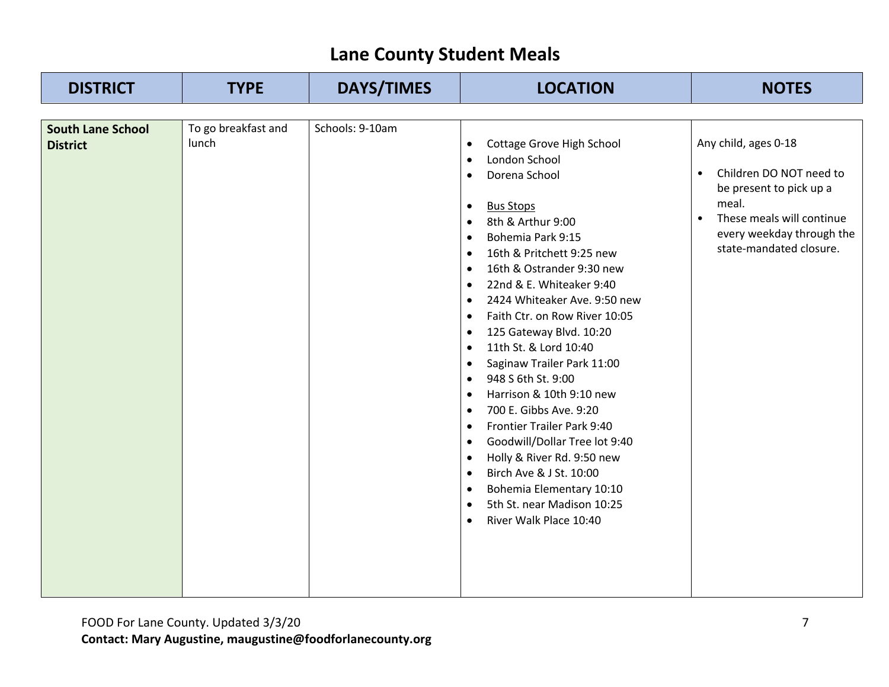| <b>DISTRICT</b>                             | <b>TYPE</b>                  | <b>DAYS/TIMES</b> | <b>LOCATION</b>                                                                                                                                                                                                                                                                                                                                                                                                                                                                                                                                                                                                                                                                                                                                                                                                                                                                                                                                                                    | <b>NOTES</b>                                                                                                                                                                                       |
|---------------------------------------------|------------------------------|-------------------|------------------------------------------------------------------------------------------------------------------------------------------------------------------------------------------------------------------------------------------------------------------------------------------------------------------------------------------------------------------------------------------------------------------------------------------------------------------------------------------------------------------------------------------------------------------------------------------------------------------------------------------------------------------------------------------------------------------------------------------------------------------------------------------------------------------------------------------------------------------------------------------------------------------------------------------------------------------------------------|----------------------------------------------------------------------------------------------------------------------------------------------------------------------------------------------------|
|                                             |                              |                   |                                                                                                                                                                                                                                                                                                                                                                                                                                                                                                                                                                                                                                                                                                                                                                                                                                                                                                                                                                                    |                                                                                                                                                                                                    |
| <b>South Lane School</b><br><b>District</b> | To go breakfast and<br>lunch | Schools: 9-10am   | Cottage Grove High School<br>$\bullet$<br>London School<br>$\bullet$<br>Dorena School<br>$\bullet$<br><b>Bus Stops</b><br>$\bullet$<br>8th & Arthur 9:00<br>$\bullet$<br>Bohemia Park 9:15<br>$\bullet$<br>16th & Pritchett 9:25 new<br>$\bullet$<br>16th & Ostrander 9:30 new<br>$\bullet$<br>22nd & E. Whiteaker 9:40<br>$\bullet$<br>2424 Whiteaker Ave. 9:50 new<br>$\bullet$<br>Faith Ctr. on Row River 10:05<br>$\bullet$<br>125 Gateway Blvd. 10:20<br>$\bullet$<br>11th St. & Lord 10:40<br>$\bullet$<br>Saginaw Trailer Park 11:00<br>$\bullet$<br>948 S 6th St. 9:00<br>$\bullet$<br>Harrison & 10th 9:10 new<br>$\bullet$<br>700 E. Gibbs Ave. 9:20<br>$\bullet$<br>Frontier Trailer Park 9:40<br>$\bullet$<br>Goodwill/Dollar Tree lot 9:40<br>$\bullet$<br>Holly & River Rd. 9:50 new<br>$\bullet$<br>Birch Ave & J St. 10:00<br>$\bullet$<br>Bohemia Elementary 10:10<br>$\bullet$<br>5th St. near Madison 10:25<br>$\bullet$<br>River Walk Place 10:40<br>$\bullet$ | Any child, ages 0-18<br>Children DO NOT need to<br>$\bullet$<br>be present to pick up a<br>meal.<br>These meals will continue<br>$\bullet$<br>every weekday through the<br>state-mandated closure. |